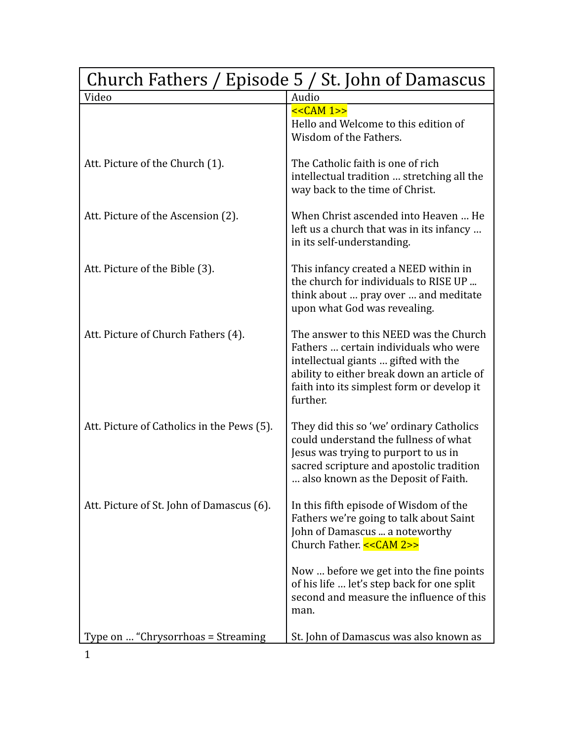| Church Fathers / Episode 5 / St. John of Damascus |                                                                                                                                                                                                                                 |
|---------------------------------------------------|---------------------------------------------------------------------------------------------------------------------------------------------------------------------------------------------------------------------------------|
| Video                                             | Audio                                                                                                                                                                                                                           |
|                                                   | $<<CAM 1>>$<br>Hello and Welcome to this edition of<br>Wisdom of the Fathers.                                                                                                                                                   |
| Att. Picture of the Church (1).                   | The Catholic faith is one of rich<br>intellectual tradition  stretching all the<br>way back to the time of Christ.                                                                                                              |
| Att. Picture of the Ascension (2).                | When Christ ascended into Heaven  He<br>left us a church that was in its infancy<br>in its self-understanding.                                                                                                                  |
| Att. Picture of the Bible (3).                    | This infancy created a NEED within in<br>the church for individuals to RISE UP<br>think about  pray over  and meditate<br>upon what God was revealing.                                                                          |
| Att. Picture of Church Fathers (4).               | The answer to this NEED was the Church<br>Fathers  certain individuals who were<br>intellectual giants  gifted with the<br>ability to either break down an article of<br>faith into its simplest form or develop it<br>further. |
| Att. Picture of Catholics in the Pews (5).        | They did this so 'we' ordinary Catholics<br>could understand the fullness of what<br>Jesus was trying to purport to us in<br>sacred scripture and apostolic tradition<br>also known as the Deposit of Faith.                    |
| Att. Picture of St. John of Damascus (6).         | In this fifth episode of Wisdom of the<br>Fathers we're going to talk about Saint<br>John of Damascus  a noteworthy<br>Church Father. << CAM 2>>                                                                                |
|                                                   | Now  before we get into the fine points<br>of his life  let's step back for one split<br>second and measure the influence of this<br>man.                                                                                       |
| Type on  "Chrysorrhoas = Streaming                | St. John of Damascus was also known as                                                                                                                                                                                          |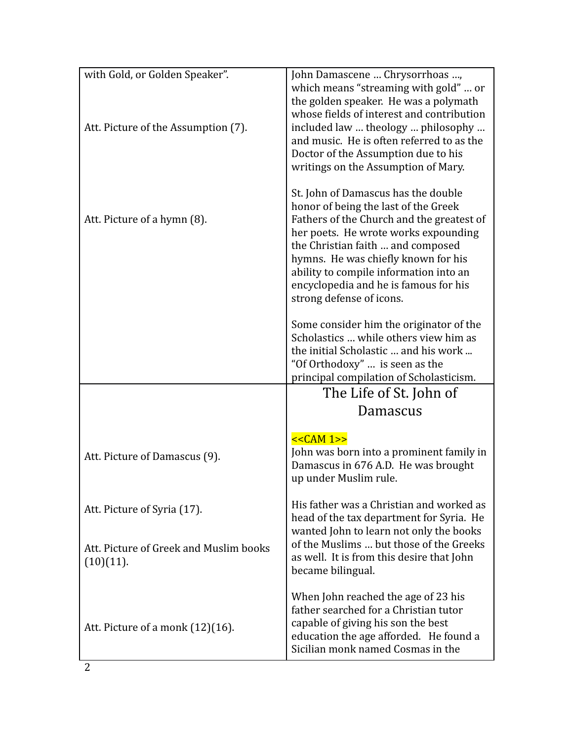| with Gold, or Golden Speaker".<br>Att. Picture of the Assumption (7). | John Damascene  Chrysorrhoas ,<br>which means "streaming with gold"  or<br>the golden speaker. He was a polymath<br>whose fields of interest and contribution<br>included law  theology  philosophy                                                                                                                                                         |
|-----------------------------------------------------------------------|-------------------------------------------------------------------------------------------------------------------------------------------------------------------------------------------------------------------------------------------------------------------------------------------------------------------------------------------------------------|
|                                                                       | and music. He is often referred to as the<br>Doctor of the Assumption due to his<br>writings on the Assumption of Mary.                                                                                                                                                                                                                                     |
| Att. Picture of a hymn (8).                                           | St. John of Damascus has the double<br>honor of being the last of the Greek<br>Fathers of the Church and the greatest of<br>her poets. He wrote works expounding<br>the Christian faith  and composed<br>hymns. He was chiefly known for his<br>ability to compile information into an<br>encyclopedia and he is famous for his<br>strong defense of icons. |
|                                                                       | Some consider him the originator of the<br>Scholastics  while others view him as<br>the initial Scholastic  and his work<br>"Of Orthodoxy"  is seen as the<br>principal compilation of Scholasticism.                                                                                                                                                       |
|                                                                       | The Life of St. John of                                                                                                                                                                                                                                                                                                                                     |
|                                                                       | Damascus                                                                                                                                                                                                                                                                                                                                                    |
| Att. Picture of Damascus (9).                                         | $<<CAM 1>>$<br>John was born into a prominent family in<br>Damascus in 676 A.D. He was brought<br>up under Muslim rule.                                                                                                                                                                                                                                     |
| Att. Picture of Syria (17).                                           | His father was a Christian and worked as<br>head of the tax department for Syria. He<br>wanted John to learn not only the books                                                                                                                                                                                                                             |
| Att. Picture of Greek and Muslim books<br>(10)(11).                   | of the Muslims  but those of the Greeks<br>as well. It is from this desire that John<br>became bilingual.                                                                                                                                                                                                                                                   |
| Att. Picture of a monk (12)(16).                                      | When John reached the age of 23 his<br>father searched for a Christian tutor<br>capable of giving his son the best<br>education the age afforded. He found a<br>Sicilian monk named Cosmas in the                                                                                                                                                           |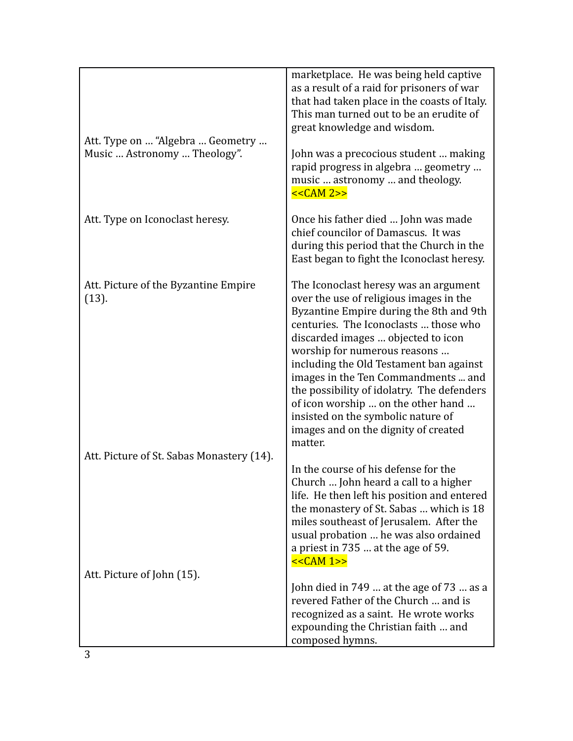| Att. Type on  "Algebra  Geometry<br>Music  Astronomy  Theology". | marketplace. He was being held captive<br>as a result of a raid for prisoners of war<br>that had taken place in the coasts of Italy.<br>This man turned out to be an erudite of<br>great knowledge and wisdom.<br>John was a precocious student  making<br>rapid progress in algebra  geometry<br>music  astronomy  and theology.<br>$<<CAM 2>>$                                                                                                                                                          |
|------------------------------------------------------------------|-----------------------------------------------------------------------------------------------------------------------------------------------------------------------------------------------------------------------------------------------------------------------------------------------------------------------------------------------------------------------------------------------------------------------------------------------------------------------------------------------------------|
| Att. Type on Iconoclast heresy.                                  | Once his father died  John was made<br>chief councilor of Damascus. It was<br>during this period that the Church in the<br>East began to fight the Iconoclast heresy.                                                                                                                                                                                                                                                                                                                                     |
| Att. Picture of the Byzantine Empire<br>(13).                    | The Iconoclast heresy was an argument<br>over the use of religious images in the<br>Byzantine Empire during the 8th and 9th<br>centuries. The Iconoclasts  those who<br>discarded images  objected to icon<br>worship for numerous reasons<br>including the Old Testament ban against<br>images in the Ten Commandments  and<br>the possibility of idolatry. The defenders<br>of icon worship  on the other hand<br>insisted on the symbolic nature of<br>images and on the dignity of created<br>matter. |
| Att. Picture of St. Sabas Monastery (14).                        | In the course of his defense for the<br>Church  John heard a call to a higher<br>life. He then left his position and entered<br>the monastery of St. Sabas  which is 18<br>miles southeast of Jerusalem. After the<br>usual probation  he was also ordained<br>a priest in 735  at the age of 59.<br>$<<CAM 1>>$                                                                                                                                                                                          |
| Att. Picture of John (15).                                       |                                                                                                                                                                                                                                                                                                                                                                                                                                                                                                           |
|                                                                  | John died in 749  at the age of 73  as a<br>revered Father of the Church  and is<br>recognized as a saint. He wrote works<br>expounding the Christian faith  and<br>composed hymns.                                                                                                                                                                                                                                                                                                                       |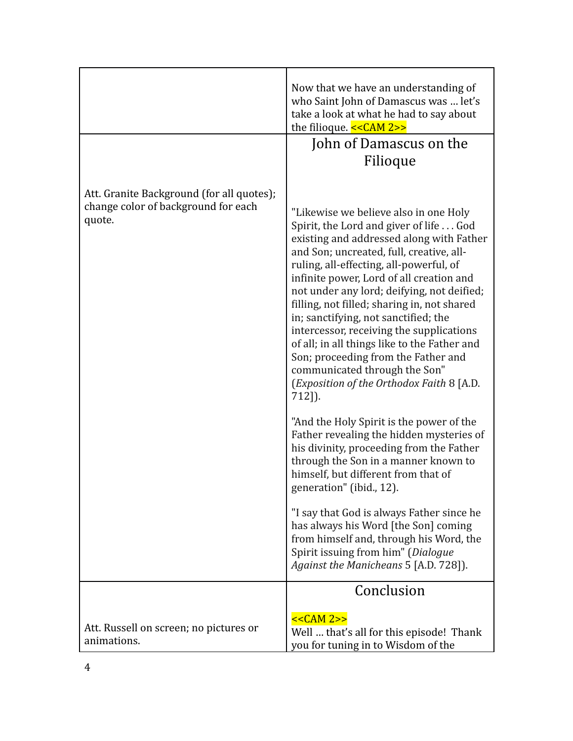|                                                                                            | Now that we have an understanding of<br>who Saint John of Damascus was  let's<br>take a look at what he had to say about<br>the filioque. $<<CAM 2>>$                                                                                                                                                                                                                                                                                                                                                                                                                                                                             |
|--------------------------------------------------------------------------------------------|-----------------------------------------------------------------------------------------------------------------------------------------------------------------------------------------------------------------------------------------------------------------------------------------------------------------------------------------------------------------------------------------------------------------------------------------------------------------------------------------------------------------------------------------------------------------------------------------------------------------------------------|
|                                                                                            | John of Damascus on the<br>Filioque                                                                                                                                                                                                                                                                                                                                                                                                                                                                                                                                                                                               |
| Att. Granite Background (for all quotes);<br>change color of background for each<br>quote. | "Likewise we believe also in one Holy<br>Spirit, the Lord and giver of life God<br>existing and addressed along with Father<br>and Son; uncreated, full, creative, all-<br>ruling, all-effecting, all-powerful, of<br>infinite power, Lord of all creation and<br>not under any lord; deifying, not deified;<br>filling, not filled; sharing in, not shared<br>in; sanctifying, not sanctified; the<br>intercessor, receiving the supplications<br>of all; in all things like to the Father and<br>Son; proceeding from the Father and<br>communicated through the Son"<br>(Exposition of the Orthodox Faith 8 [A.D.<br>$712$ ]). |
|                                                                                            | "And the Holy Spirit is the power of the<br>Father revealing the hidden mysteries of<br>his divinity, proceeding from the Father<br>through the Son in a manner known to<br>himself, but different from that of<br>generation" (ibid., 12).                                                                                                                                                                                                                                                                                                                                                                                       |
|                                                                                            | "I say that God is always Father since he<br>has always his Word [the Son] coming<br>from himself and, through his Word, the<br>Spirit issuing from him" (Dialogue<br>Against the Manicheans 5 [A.D. 728]).                                                                                                                                                                                                                                                                                                                                                                                                                       |
|                                                                                            | Conclusion                                                                                                                                                                                                                                                                                                                                                                                                                                                                                                                                                                                                                        |
| Att. Russell on screen; no pictures or<br>animations.                                      | $<<CAM 2>>$<br>Well  that's all for this episode! Thank<br>you for tuning in to Wisdom of the                                                                                                                                                                                                                                                                                                                                                                                                                                                                                                                                     |